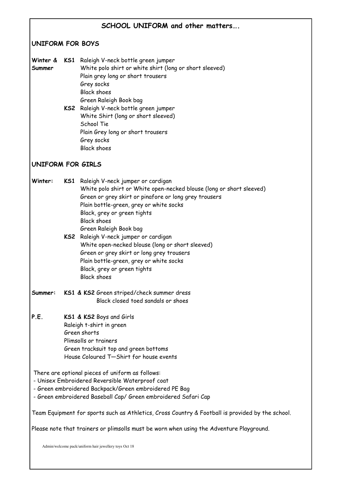| SCHOOL UNIFORM and other matters                                                                                                                                                                                               |  |                                                                                                                                                                                                                                                                                                                                                                                                                                                                                                                                     |  |
|--------------------------------------------------------------------------------------------------------------------------------------------------------------------------------------------------------------------------------|--|-------------------------------------------------------------------------------------------------------------------------------------------------------------------------------------------------------------------------------------------------------------------------------------------------------------------------------------------------------------------------------------------------------------------------------------------------------------------------------------------------------------------------------------|--|
| <b>UNIFORM FOR BOYS</b>                                                                                                                                                                                                        |  |                                                                                                                                                                                                                                                                                                                                                                                                                                                                                                                                     |  |
| Winter &<br>Summer                                                                                                                                                                                                             |  | KS1 Raleigh V-neck bottle green jumper<br>White polo shirt or white shirt (long or short sleeved)<br>Plain grey long or short trousers<br>Grey socks<br><b>Black shoes</b><br>Green Raleigh Book bag<br>KS2 Raleigh V-neck bottle green jumper<br>White Shirt (long or short sleeved)<br>School Tie<br>Plain Grey long or short trousers<br>Grey socks<br><b>Black shoes</b>                                                                                                                                                        |  |
| <b>UNIFORM FOR GIRLS</b>                                                                                                                                                                                                       |  |                                                                                                                                                                                                                                                                                                                                                                                                                                                                                                                                     |  |
| Winter:                                                                                                                                                                                                                        |  | KS1 Raleigh V-neck jumper or cardigan<br>White polo shirt or White open-necked blouse (long or short sleeved)<br>Green or grey skirt or pinafore or long grey trousers<br>Plain bottle-green, grey or white socks<br>Black, grey or green tights<br><b>Black shoes</b><br>Green Raleigh Book bag<br>KS2 Raleigh V-neck jumper or cardigan<br>White open-necked blouse (long or short sleeved)<br>Green or grey skirt or long grey trousers<br>Plain bottle-green, grey or white socks<br>Black, grey or green tights<br>Black shoes |  |
| Summer:                                                                                                                                                                                                                        |  | KS1 & KS2 Green striped/check summer dress<br>Black closed toed sandals or shoes                                                                                                                                                                                                                                                                                                                                                                                                                                                    |  |
| P.E.                                                                                                                                                                                                                           |  | KS1 & KS2 Boys and Girls<br>Raleigh t-shirt in green<br>Green shorts<br>Plimsolls or trainers<br>Green tracksuit top and green bottoms<br>House Coloured T-Shirt for house events                                                                                                                                                                                                                                                                                                                                                   |  |
| There are optional pieces of uniform as follows:<br>- Unisex Embroidered Reversible Waterproof coat<br>- Green embroidered Backpack/Green embroidered PE Bag<br>- Green embroidered Baseball Cap/ Green embroidered Safari Cap |  |                                                                                                                                                                                                                                                                                                                                                                                                                                                                                                                                     |  |
| Team Equipment for sports such as Athletics, Cross Country & Football is provided by the school.<br>Please note that trainers or plimsolls must be worn when using the Adventure Playground.                                   |  |                                                                                                                                                                                                                                                                                                                                                                                                                                                                                                                                     |  |
| Admin/welcome pack/uniform hair jewellery toys Oct 18                                                                                                                                                                          |  |                                                                                                                                                                                                                                                                                                                                                                                                                                                                                                                                     |  |
|                                                                                                                                                                                                                                |  |                                                                                                                                                                                                                                                                                                                                                                                                                                                                                                                                     |  |